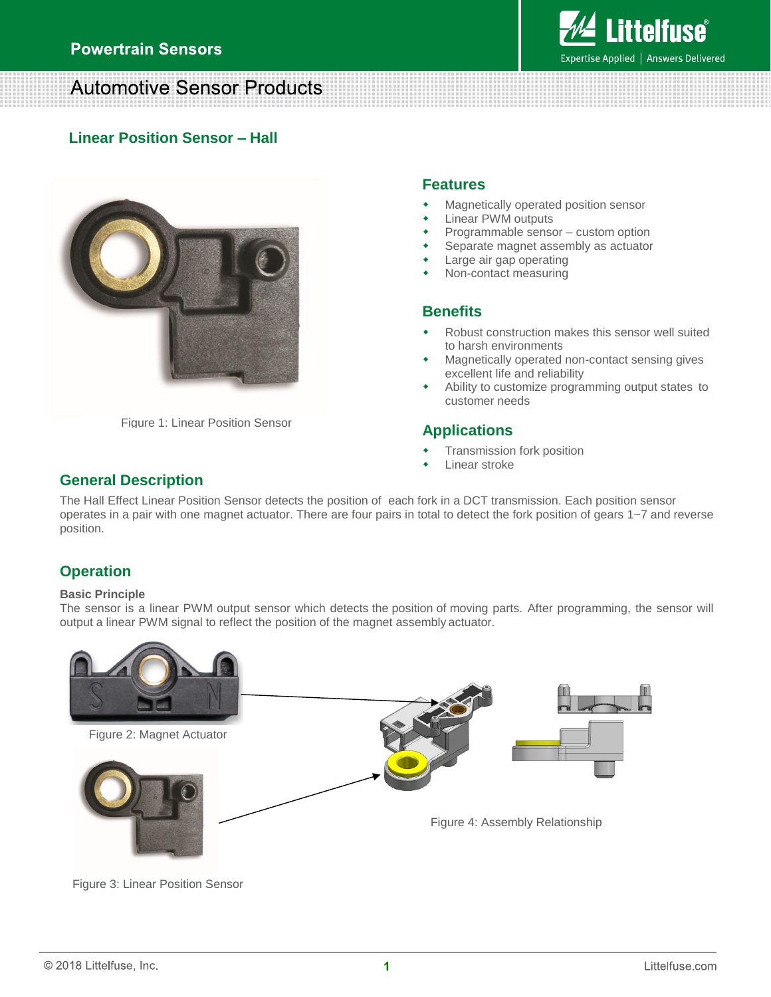## **Automotive Sensor Products**

## **Linear Position Sensor – Hall**



Figure 1: Linear Position Sensor

### **Features**

- Magnetically operated position sensor
- Linear PWM outputs
- Programmable sensor custom option
- Separate magnet assembly as actuator
- Large air gap operating
- Non-contact measuring

## **Benefits**

- Robust construction makes this sensor well suited to harsh environments
- Magnetically operated non-contact sensing gives excellent life and reliability
- Ability to customize programming output states to customer needs

## **Applications**

- Transmission fork position
- Linear stroke

## **General Description**

The Hall Effect Linear Position Sensor detects the position of each fork in a DCT transmission. Each position sensor operates in a pair with one magnet actuator. There are four pairs in total to detect the fork position of gears 1~7 and reverse position.

## **Operation**

#### **Basic Principle**

The sensor is a linear PWM output sensor which detects the position of moving parts. After programming, the sensor will output a linear PWM signal to reflect the position of the magnet assembly actuator.



Figure 3: Linear Position Sensor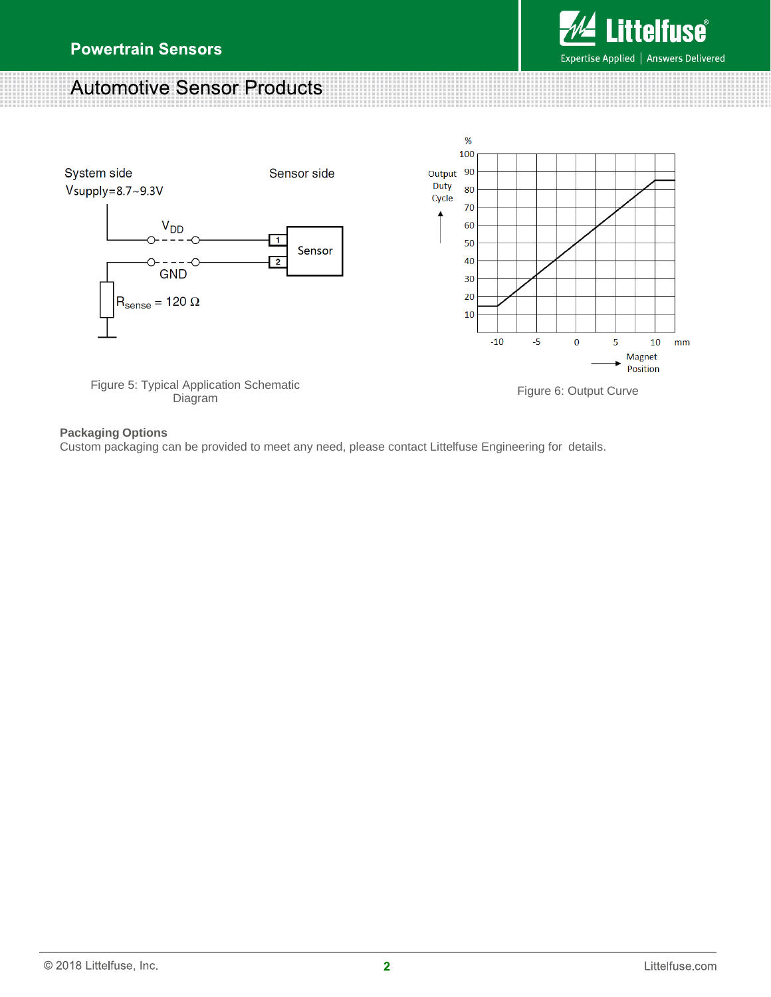# **Automotive Sensor Products**



## **Packaging Options**

Custom packaging can be provided to meet any need, please contact Littelfuse Engineering for details.